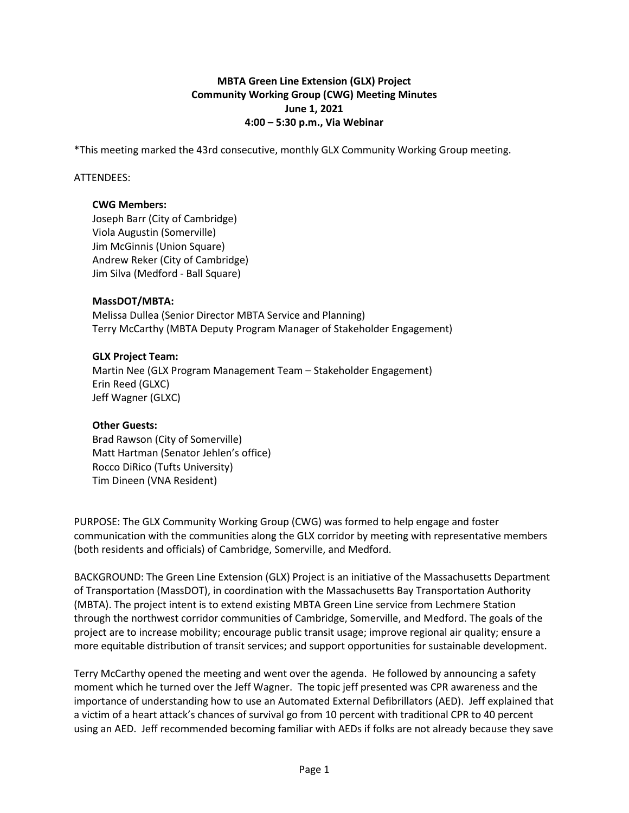## **MBTA Green Line Extension (GLX) Project Community Working Group (CWG) Meeting Minutes June 1, 2021 4:00 – 5:30 p.m., Via Webinar**

\*This meeting marked the 43rd consecutive, monthly GLX Community Working Group meeting.

### ATTENDEES:

### **CWG Members:**

Joseph Barr (City of Cambridge) Viola Augustin (Somerville) Jim McGinnis (Union Square) Andrew Reker (City of Cambridge) Jim Silva (Medford - Ball Square)

## **MassDOT/MBTA:**

Melissa Dullea (Senior Director MBTA Service and Planning) Terry McCarthy (MBTA Deputy Program Manager of Stakeholder Engagement)

#### **GLX Project Team:**

Martin Nee (GLX Program Management Team – Stakeholder Engagement) Erin Reed (GLXC) Jeff Wagner (GLXC)

## **Other Guests:**

Brad Rawson (City of Somerville) Matt Hartman (Senator Jehlen's office) Rocco DiRico (Tufts University) Tim Dineen (VNA Resident)

PURPOSE: The GLX Community Working Group (CWG) was formed to help engage and foster communication with the communities along the GLX corridor by meeting with representative members (both residents and officials) of Cambridge, Somerville, and Medford.

BACKGROUND: The Green Line Extension (GLX) Project is an initiative of the Massachusetts Department of Transportation (MassDOT), in coordination with the Massachusetts Bay Transportation Authority (MBTA). The project intent is to extend existing MBTA Green Line service from Lechmere Station through the northwest corridor communities of Cambridge, Somerville, and Medford. The goals of the project are to increase mobility; encourage public transit usage; improve regional air quality; ensure a more equitable distribution of transit services; and support opportunities for sustainable development.

Terry McCarthy opened the meeting and went over the agenda. He followed by announcing a safety moment which he turned over the Jeff Wagner. The topic jeff presented was CPR awareness and the importance of understanding how to use an Automated External Defibrillators (AED). Jeff explained that a victim of a heart attack's chances of survival go from 10 percent with traditional CPR to 40 percent using an AED. Jeff recommended becoming familiar with AEDs if folks are not already because they save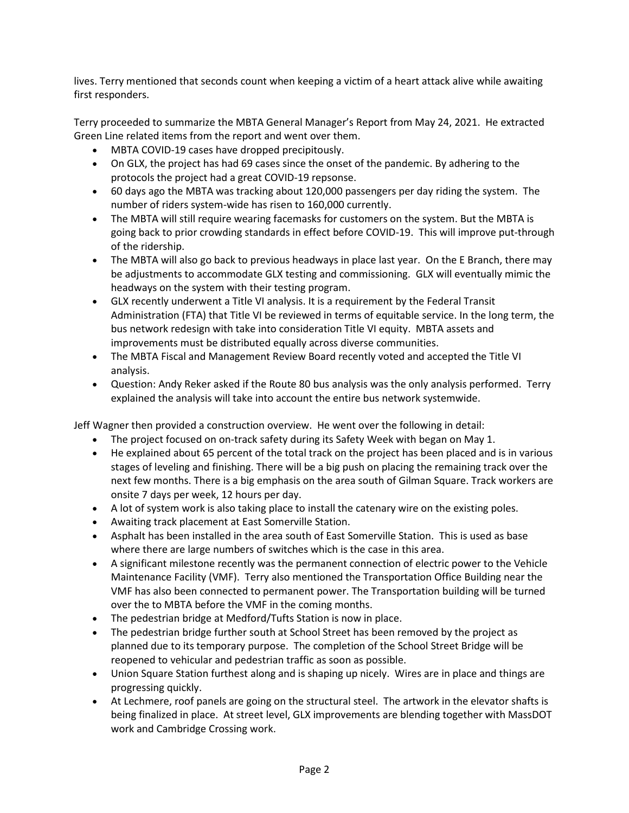lives. Terry mentioned that seconds count when keeping a victim of a heart attack alive while awaiting first responders.

Terry proceeded to summarize the MBTA General Manager's Report from May 24, 2021. He extracted Green Line related items from the report and went over them.

- MBTA COVID-19 cases have dropped precipitously.
- On GLX, the project has had 69 cases since the onset of the pandemic. By adhering to the protocols the project had a great COVID-19 repsonse.
- 60 days ago the MBTA was tracking about 120,000 passengers per day riding the system. The number of riders system-wide has risen to 160,000 currently.
- The MBTA will still require wearing facemasks for customers on the system. But the MBTA is going back to prior crowding standards in effect before COVID-19. This will improve put-through of the ridership.
- The MBTA will also go back to previous headways in place last year. On the E Branch, there may be adjustments to accommodate GLX testing and commissioning. GLX will eventually mimic the headways on the system with their testing program.
- GLX recently underwent a Title VI analysis. It is a requirement by the Federal Transit Administration (FTA) that Title VI be reviewed in terms of equitable service. In the long term, the bus network redesign with take into consideration Title VI equity. MBTA assets and improvements must be distributed equally across diverse communities.
- The MBTA Fiscal and Management Review Board recently voted and accepted the Title VI analysis.
- Question: Andy Reker asked if the Route 80 bus analysis was the only analysis performed. Terry explained the analysis will take into account the entire bus network systemwide.

Jeff Wagner then provided a construction overview. He went over the following in detail:

- The project focused on on-track safety during its Safety Week with began on May 1.
- He explained about 65 percent of the total track on the project has been placed and is in various stages of leveling and finishing. There will be a big push on placing the remaining track over the next few months. There is a big emphasis on the area south of Gilman Square. Track workers are onsite 7 days per week, 12 hours per day.
- A lot of system work is also taking place to install the catenary wire on the existing poles.
- Awaiting track placement at East Somerville Station.
- Asphalt has been installed in the area south of East Somerville Station. This is used as base where there are large numbers of switches which is the case in this area.
- A significant milestone recently was the permanent connection of electric power to the Vehicle Maintenance Facility (VMF). Terry also mentioned the Transportation Office Building near the VMF has also been connected to permanent power. The Transportation building will be turned over the to MBTA before the VMF in the coming months.
- The pedestrian bridge at Medford/Tufts Station is now in place.
- The pedestrian bridge further south at School Street has been removed by the project as planned due to its temporary purpose. The completion of the School Street Bridge will be reopened to vehicular and pedestrian traffic as soon as possible.
- Union Square Station furthest along and is shaping up nicely. Wires are in place and things are progressing quickly.
- At Lechmere, roof panels are going on the structural steel. The artwork in the elevator shafts is being finalized in place. At street level, GLX improvements are blending together with MassDOT work and Cambridge Crossing work.